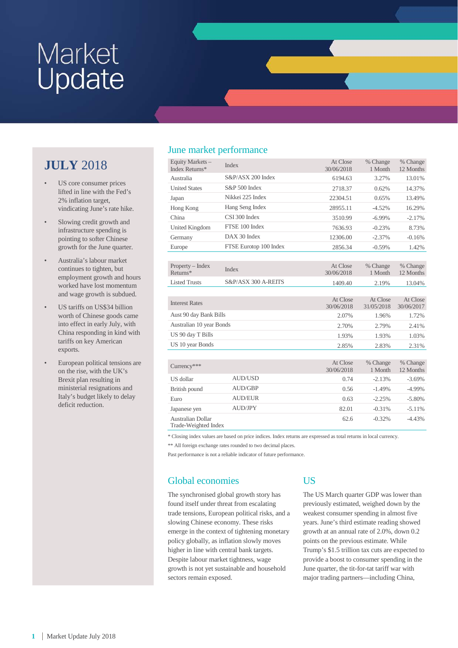## **JULY** 2018

- US core consumer prices lifted in line with the Fed's 2% inflation target, vindicating June's rate hike.
- Slowing credit growth and infrastructure spending is pointing to softer Chinese growth for the June quarter.
- Australia's labour market continues to tighten, but employment growth and hours worked have lost momentum and wage growth is subdued.
- US tariffs on US\$34 billion worth of Chinese goods came into effect in early July, with China responding in kind with tariffs on key American exports.
- European political tensions are on the rise, with the UK's Brexit plan resulting in ministerial resignations and Italy's budget likely to delay deficit reduction.

## June market performance

| Equity Markets -<br>Index Returns* | Index                  | At Close<br>30/06/2018 | % Change<br>1 Month    | % Change<br>12 Months  |
|------------------------------------|------------------------|------------------------|------------------------|------------------------|
| Australia                          | S&P/ASX 200 Index      | 6194.63                | 3.27%                  | 13.01%                 |
| <b>United States</b>               | $S\&P 500$ Index       | 2718.37                | 0.62%                  | 14.37%                 |
| Japan                              | Nikkei 225 Index       | 22304.51               | 0.65%                  | 13.49%                 |
| Hong Kong                          | Hang Seng Index        | 28955.11               | $-4.52%$               | 16.29%                 |
| China                              | CSI 300 Index          | 3510.99                | $-6.99\%$              | $-2.17%$               |
| United Kingdom                     | FTSE 100 Index         | 7636.93                | $-0.23%$               | 8.73%                  |
| Germany                            | $DAX$ 30 Index         | 12306.00               | $-2.37%$               | $-0.16%$               |
| Europe                             | FTSE Eurotop 100 Index | 2856.34                | $-0.59%$               | 1.42%                  |
|                                    |                        |                        |                        |                        |
| $Property - Index$<br>Returns*     | Index                  | At Close<br>30/06/2018 | % Change<br>1 Month    | % Change<br>12 Months  |
| <b>Listed Trusts</b>               | S&P/ASX 300 A-REITS    | 1409.40                | 2.19%                  | 13.04%                 |
|                                    |                        |                        |                        |                        |
| <b>Interest Rates</b>              |                        | At Close<br>30/06/2018 | At Close<br>31/05/2018 | At Close<br>30/06/2017 |
| Aust 90 day Bank Bills             |                        | 2.07%                  | 1.96%                  | 1.72%                  |
| Australian 10 year Bonds           |                        | 2.70%                  | 2.79%                  | 2.41%                  |
| US 90 day T Bills                  |                        | 1.93%                  | 1.93%                  | 1.03%                  |
| US 10 year Bonds                   |                        | 2.85%                  | 2.83%                  | 2.31%                  |
|                                    |                        |                        |                        |                        |

| $Currency***$                             |                | At Close<br>30/06/2018 | % Change<br>1 Month | % Change<br>12 Months |
|-------------------------------------------|----------------|------------------------|---------------------|-----------------------|
| US dollar                                 | <b>AUD/USD</b> | 0.74                   | $-2.13%$            | $-3.69%$              |
| British pound                             | AUD/GBP        | 0.56                   | $-1.49%$            | $-4.99%$              |
| Euro                                      | <b>AUD/EUR</b> | 0.63                   | $-2.25%$            | $-5.80\%$             |
| Japanese yen                              | AUD/JPY        | 82.01                  | $-0.31%$            | $-5.11%$              |
| Australian Dollar<br>Trade Weighted Index |                | 62.6                   | $-0.32%$            | $-4.43%$              |

Trade-Weighted Index

\* Closing index values are based on price indices. Index returns are expressed as total returns in local currency.

\*\* All foreign exchange rates rounded to two decimal places.

Past performance is not a reliable indicator of future performance.

## Global economies

#### The synchronised global growth story has found itself under threat from escalating trade tensions, European political risks, and a slowing Chinese economy. These risks emerge in the context of tightening monetary policy globally, as inflation slowly moves higher in line with central bank targets. Despite labour market tightness, wage growth is not yet sustainable and household sectors remain exposed.

## US

The US March quarter GDP was lower than previously estimated, weighed down by the weakest consumer spending in almost five years. June's third estimate reading showed growth at an annual rate of 2.0%, down 0.2 points on the previous estimate. While Trump's \$1.5 trillion tax cuts are expected to provide a boost to consumer spending in the June quarter, the tit-for-tat tariff war with major trading partners—including China,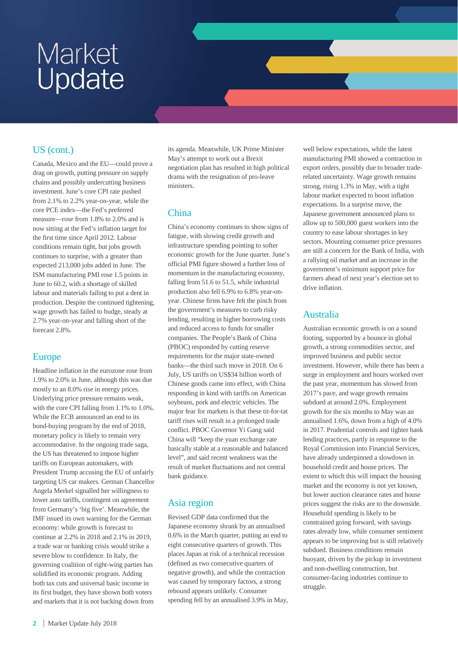## US (cont.)

Canada, Mexico and the EU—could prove a drag on growth, putting pressure on supply chains and possibly undercutting business investment. June's core CPI rate pushed from 2.1% to 2.2% year-on-year, while the core PCE index—the Fed's preferred measure—rose from 1.8% to 2.0% and is now sitting at the Fed's inflation target for the first time since April 2012. Labour conditions remain tight, but jobs growth continues to surprise, with a greater than expected 213,000 jobs added in June. The ISM manufacturing PMI rose 1.5 points in June to 60.2, with a shortage of skilled labour and materials failing to put a dent in production. Despite the continued tightening, wage growth has failed to budge, steady at 2.7% year-on-year and falling short of the forecast 2.8%.

## Europe

Headline inflation in the eurozone rose from 1.9% to 2.0% in June, although this was due mostly to an 8.0% rise in energy prices. Underlying price pressure remains weak, with the core CPI falling from 1.1% to 1.0%. While the ECB announced an end to its bond-buying program by the end of 2018, monetary policy is likely to remain very accommodative. In the ongoing trade saga, the US has threatened to impose higher tariffs on European automakers, with President Trump accusing the EU of unfairly targeting US car makers. German Chancellor Angela Merkel signalled her willingness to lower auto tariffs, contingent on agreement from Germany's 'big five'. Meanwhile, the IMF issued its own warning for the German economy: while growth is forecast to continue at 2.2% in 2018 and 2.1% in 2019, a trade war or banking crisis would strike a severe blow to confidence. In Italy, the governing coalition of right-wing parties has solidified its economic program. Adding both tax cuts and universal basic income in its first budget, they have shown both voters and markets that it is not backing down from

its agenda. Meanwhile, UK Prime Minister May's attempt to work out a Brexit negotiation plan has resulted in high political drama with the resignation of pro-leave ministers.

## China

China's economy continues to show signs of fatigue, with slowing credit growth and infrastructure spending pointing to softer economic growth for the June quarter. June's official PMI figure showed a further loss of momentum in the manufacturing economy, falling from 51.6 to 51.5, while industrial production also fell 6.9% to 6.8% year-onyear. Chinese firms have felt the pinch from the government's measures to curb risky lending, resulting in higher borrowing costs and reduced access to funds for smaller companies. The People's Bank of China (PBOC) responded by cutting reserve requirements for the major state-owned banks—the third such move in 2018. On 6 July, US tariffs on US\$34 billion worth of Chinese goods came into effect, with China responding in kind with tariffs on American soybeans, pork and electric vehicles. The major fear for markets is that these tit-for-tat tariff rises will result in a prolonged trade conflict. PBOC Governor Yi Gang said China will "keep the yuan exchange rate basically stable at a reasonable and balanced level", and said recent weakness was the result of market fluctuations and not central bank guidance.

## Asia region

Revised GDP data confirmed that the Japanese economy shrank by an annualised 0.6% in the March quarter, putting an end to eight consecutive quarters of growth. This places Japan at risk of a technical recession (defined as two consecutive quarters of negative growth), and while the contraction was caused by temporary factors, a strong rebound appears unlikely. Consumer spending fell by an annualised 3.9% in May,

well below expectations, while the latest manufacturing PMI showed a contraction in export orders, possibly due to broader traderelated uncertainty. Wage growth remains strong, rising 1.3% in May, with a tight labour market expected to boost inflation expectations. In a surprise move, the Japanese government announced plans to allow up to 500,000 guest workers into the country to ease labour shortages in key sectors. Mounting consumer price pressures are still a concern for the Bank of India, with a rallying oil market and an increase in the government's minimum support price for farmers ahead of next year's election set to drive inflation.

## Australia

Australian economic growth is on a sound footing, supported by a bounce in global growth, a strong commodities sector, and improved business and public sector investment. However, while there has been a surge in employment and hours worked over the past year, momentum has slowed from 2017's pace, and wage growth remains subdued at around 2.0%. Employment growth for the six months to May was an annualised 1.6%, down from a high of 4.0% in 2017. Prudential controls and tighter bank lending practices, partly in response to the Royal Commission into Financial Services, have already underpinned a slowdown in household credit and house prices. The extent to which this will impact the housing market and the economy is not yet known, but lower auction clearance rates and house prices suggest the risks are to the downside. Household spending is likely to be constrained going forward, with savings rates already low, while consumer sentiment appears to be improving but is still relatively subdued. Business conditions remain buoyant, driven by the pickup in investment and non-dwelling construction, but consumer-facing industries continue to struggle.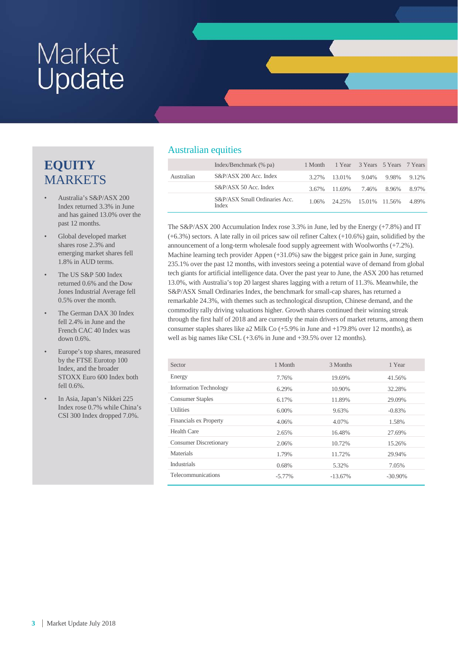## **EQUITY** MARKETS

- Australia's S&P/ASX 200 Index returned 3.3% in June and has gained 13.0% over the past 12 months.
- Global developed market shares rose 2.3% and emerging market shares fell 1.8% in AUD terms.
- The US S&P 500 Index returned 0.6% and the Dow Jones Industrial Average fell 0.5% over the month.
- The German DAX 30 Index fell 2.4% in June and the French CAC 40 Index was down 0.6%.
- Europe's top shares, measured by the FTSE Eurotop 100 Index, and the broader STOXX Euro 600 Index both fell 0.6%.
- In Asia, Japan's Nikkei 225 Index rose 0.7% while China's CSI 300 Index dropped 7.0%.

## Australian equities

|            | Index/Benchmark (% pa)                 | 1 Month | 1 Year 3 Years 5 Years 7 Years |       |       |       |
|------------|----------------------------------------|---------|--------------------------------|-------|-------|-------|
| Australian | S&P/ASX 200 Acc. Index                 | 3.27%   | 13.01%                         | 9.04% | 9.98% | 9.12% |
|            | S&P/ASX 50 Acc. Index                  |         | 3.67% 11.69%                   | 7.46% | 8.96% | 8.97% |
|            | S&P/ASX Small Ordinaries Acc.<br>Index |         | 1.06% 24.25% 15.01% 11.56%     |       |       | 4.89% |

The S&P/ASX 200 Accumulation Index rose 3.3% in June, led by the Energy (+7.8%) and IT (+6.3%) sectors. A late rally in oil prices saw oil refiner Caltex (+10.6%) gain, solidified by the announcement of a long-term wholesale food supply agreement with Woolworths (+7.2%). Machine learning tech provider Appen (+31.0%) saw the biggest price gain in June, surging 235.1% over the past 12 months, with investors seeing a potential wave of demand from global tech giants for artificial intelligence data. Over the past year to June, the ASX 200 has returned 13.0%, with Australia's top 20 largest shares lagging with a return of 11.3%. Meanwhile, the S&P/ASX Small Ordinaries Index, the benchmark for small-cap shares, has returned a remarkable 24.3%, with themes such as technological disruption, Chinese demand, and the commodity rally driving valuations higher. Growth shares continued their winning streak through the first half of 2018 and are currently the main drivers of market returns, among them consumer staples shares like a2 Milk Co (+5.9% in June and +179.8% over 12 months), as well as big names like CSL (+3.6% in June and +39.5% over 12 months).

| Sector                        | 1 Month   | 3 Months   | 1 Year     |
|-------------------------------|-----------|------------|------------|
| Energy                        | 7.76%     | 19.69%     | 41.56%     |
| <b>Information Technology</b> | 6.29%     | 10.90%     | 32.28%     |
| <b>Consumer Staples</b>       | 6.17%     | 11.89%     | 29.09%     |
| <b>Utilities</b>              | $6.00\%$  | 9.63%      | $-0.83%$   |
| <b>Financials ex Property</b> | 4.06%     | 4.07%      | 1.58%      |
| <b>Health Care</b>            | 2.65%     | 16.48%     | 27.69%     |
| <b>Consumer Discretionary</b> | 2.06%     | 10.72%     | 15.26%     |
| Materials                     | 1.79%     | 11.72%     | 29.94%     |
| <b>Industrials</b>            | 0.68%     | 5.32%      | 7.05%      |
| Telecommunications            | $-5.77\%$ | $-13.67\%$ | $-30.90\%$ |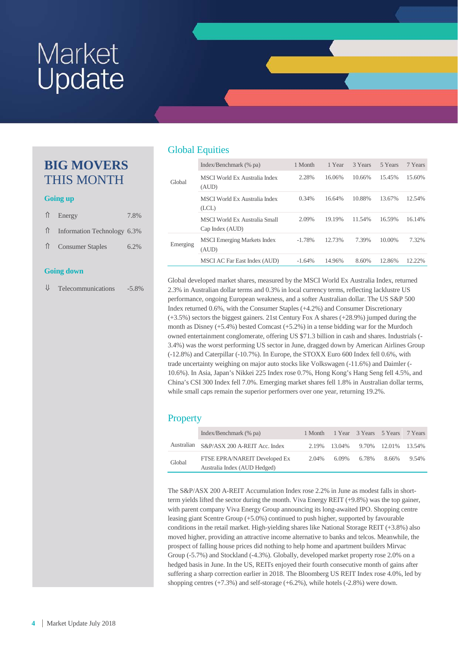## **BIG MOVERS** THIS MONTH

#### **Going up**

| $\uparrow$ Energy             | 7.8% |
|-------------------------------|------|
| ↑ Information Technology 6.3% |      |
| 1 Consumer Staples            | 6.2% |
|                               |      |

#### **Going down**

⇓ Telecommunications -5.8%

## Global Equities

|          | Index/Benchmark (% pa)                           | 1 Month  | 1 Year | 3 Years | 5 Years | 7 Years |
|----------|--------------------------------------------------|----------|--------|---------|---------|---------|
| Global   | MSCI World Ex Australia Index<br>(AUD)           | 2.28%    | 16.06% | 10.66%  | 15.45%  | 15.60%  |
|          | MSCI World Ex Australia Index<br>(LCL)           | 0.34%    | 16.64% | 10.88%  | 13.67%  | 12.54%  |
|          | MSCI World Ex Australia Small<br>Cap Index (AUD) | 2.09%    | 19.19% | 11.54%  | 16.59%  | 16.14%  |
| Emerging | <b>MSCI</b> Emerging Markets Index<br>(AUD)      | $-1.78%$ | 12.73% | 7.39%   | 10.00%  | 7.32%   |
|          | MSCI AC Far East Index (AUD)                     | $-1.64%$ | 14.96% | 8.60%   | 12.86%  | 12.22%  |

Global developed market shares, measured by the MSCI World Ex Australia Index, returned 2.3% in Australian dollar terms and 0.3% in local currency terms, reflecting lacklustre US performance, ongoing European weakness, and a softer Australian dollar. The US S&P 500 Index returned 0.6%, with the Consumer Staples (+4.2%) and Consumer Discretionary (+3.5%) sectors the biggest gainers. 21st Century Fox A shares (+28.9%) jumped during the month as Disney (+5.4%) bested Comcast (+5.2%) in a tense bidding war for the Murdoch owned entertainment conglomerate, offering US \$71.3 billion in cash and shares. Industrials (- 3.4%) was the worst performing US sector in June, dragged down by American Airlines Group (-12.8%) and Caterpillar (-10.7%). In Europe, the STOXX Euro 600 Index fell 0.6%, with trade uncertainty weighing on major auto stocks like Volkswagen (-11.6%) and Daimler (- 10.6%). In Asia, Japan's Nikkei 225 Index rose 0.7%, Hong Kong's Hang Seng fell 4.5%, and China's CSI 300 Index fell 7.0%. Emerging market shares fell 1.8% in Australian dollar terms, while small caps remain the superior performers over one year, returning 19.2%.

## **Property**

|        | Index/Benchmark (% pa)                                        |       | 1 Month 1 Year 3 Years 5 Years 7 Years |             |                     |       |
|--------|---------------------------------------------------------------|-------|----------------------------------------|-------------|---------------------|-------|
|        | Australian S&P/ASX 200 A-REIT Acc. Index                      |       | 2.19% 13.04%                           |             | 9.70% 12.01% 13.54% |       |
| Global | FTSE EPRA/NAREIT Developed Ex<br>Australia Index (AUD Hedged) | 2.04% |                                        | 6.09% 6.78% | 8.66%               | 9.54% |

The S&P/ASX 200 A-REIT Accumulation Index rose 2.2% in June as modest falls in shortterm yields lifted the sector during the month. Viva Energy REIT (+9.8%) was the top gainer, with parent company Viva Energy Group announcing its long-awaited IPO. Shopping centre leasing giant Scentre Group (+5.0%) continued to push higher, supported by favourable conditions in the retail market. High-yielding shares like National Storage REIT (+3.8%) also moved higher, providing an attractive income alternative to banks and telcos. Meanwhile, the prospect of falling house prices did nothing to help home and apartment builders Mirvac Group (-5.7%) and Stockland (-4.3%). Globally, developed market property rose 2.0% on a hedged basis in June. In the US, REITs enjoyed their fourth consecutive month of gains after suffering a sharp correction earlier in 2018. The Bloomberg US REIT Index rose 4.0%, led by shopping centres  $(+7.3\%)$  and self-storage  $(+6.2\%)$ , while hotels  $(-2.8\%)$  were down.